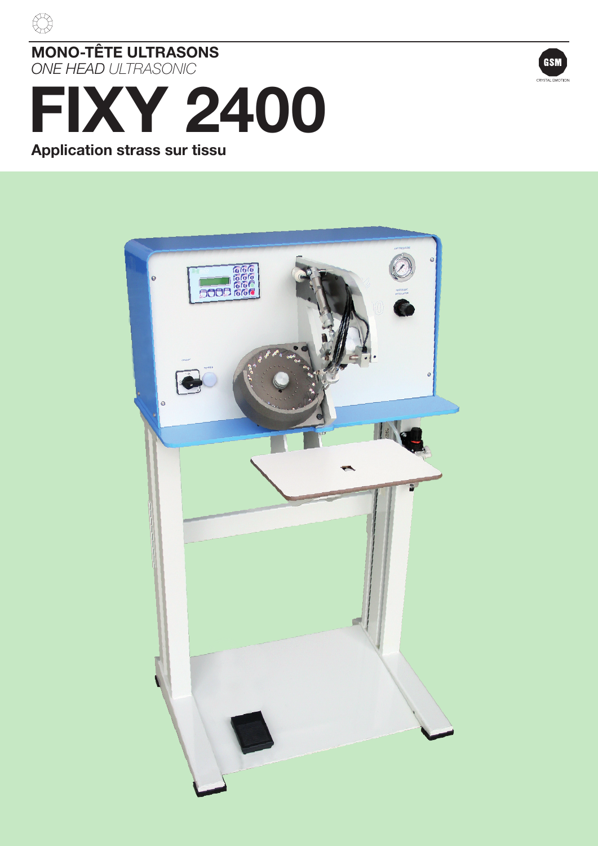



### *ONE HEAD ULTRASONIC*

# FIXY 2400 Application strass sur tissu